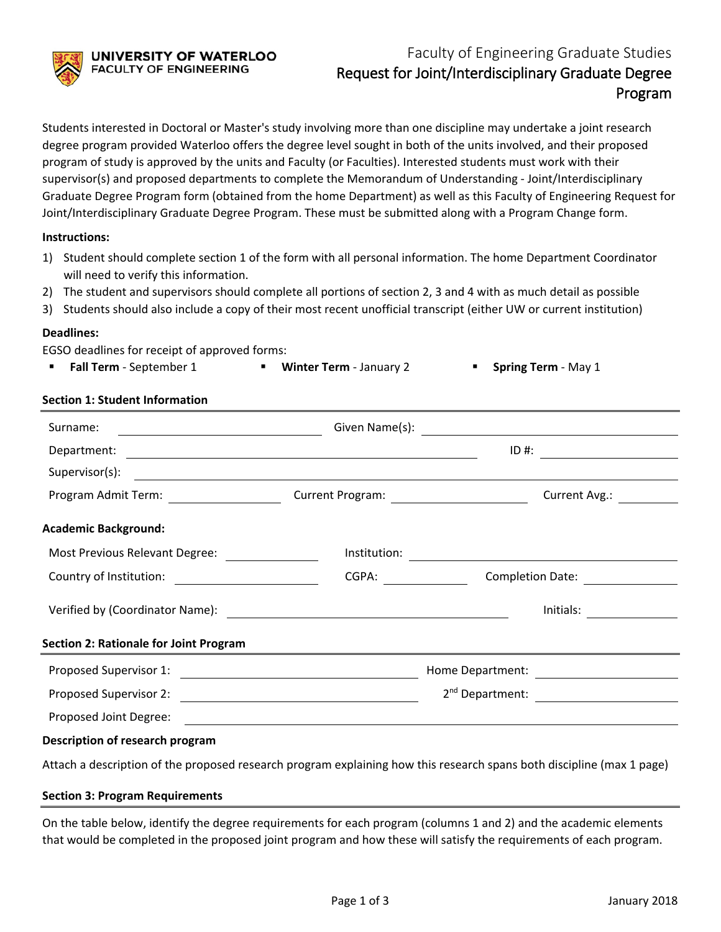UNIVERSITY OF WATERLOO **FACULTY OF ENGINEERING** 

# Faculty of Engineering Graduate Studies Request for Joint/Interdisciplinary Graduate Degree Program

Students interested in Doctoral or Master's study involving more than one discipline may undertake a joint research degree program provided Waterloo offers the degree level sought in both of the units involved, and their proposed program of study is approved by the units and Faculty (or Faculties). Interested students must work with their supervisor(s) and proposed departments to complete the Memorandum of Understanding - Joint/Interdisciplinary Graduate Degree Program form (obtained from the home Department) as well as this Faculty of Engineering Request for Joint/Interdisciplinary Graduate Degree Program. These must be submitted along with a Program Change form.

#### **Instructions:**

- 1) Student should complete section 1 of the form with all personal information. The home Department Coordinator will need to verify this information.
- 2) The student and supervisors should complete all portions of section 2, 3 and 4 with as much detail as possible
- 3) Students should also include a copy of their most recent unofficial transcript (either UW or current institution)

### **Deadlines:**

EGSO deadlines for receipt of approved forms:

|  | Fall Term - September 1 |  | <b>UP</b> Winter Term - January 2 |  | <b>Spring Term - May 1</b> |
|--|-------------------------|--|-----------------------------------|--|----------------------------|
|--|-------------------------|--|-----------------------------------|--|----------------------------|

## **Section 1: Student Information**

| Surname:<br><u> Alexandria de la contexta de la contexta de la contexta de la contexta de la contexta de la contexta de la c</u> |       | Given Name(s): $\qquad \qquad$                                                                           |                                        |  |
|----------------------------------------------------------------------------------------------------------------------------------|-------|----------------------------------------------------------------------------------------------------------|----------------------------------------|--|
|                                                                                                                                  |       | $\overline{1D}$ #: $\overline{\phantom{222}$                                                             |                                        |  |
|                                                                                                                                  |       |                                                                                                          |                                        |  |
| Program Admit Term: ____________________                                                                                         |       |                                                                                                          | Current Avg.:                          |  |
| <b>Academic Background:</b>                                                                                                      |       |                                                                                                          |                                        |  |
| Most Previous Relevant Degree: [19] Most Previous Relevant Degree:                                                               |       | $Institution: \begin{tabular}{ c c c } \hline \multicolumn{3}{ c }{\textbf{Institution:}} \end{tabular}$ |                                        |  |
|                                                                                                                                  | CGPA: |                                                                                                          | Completion Date: <u>______________</u> |  |
|                                                                                                                                  |       |                                                                                                          | Initials:                              |  |
| <b>Section 2: Rationale for Joint Program</b>                                                                                    |       |                                                                                                          |                                        |  |
|                                                                                                                                  |       |                                                                                                          |                                        |  |
|                                                                                                                                  |       |                                                                                                          |                                        |  |
|                                                                                                                                  |       |                                                                                                          |                                        |  |
| Description of research program                                                                                                  |       |                                                                                                          |                                        |  |
| Attach a description of the proposed research program explaining how this research spans both discipline (max 1 page)            |       |                                                                                                          |                                        |  |

## **Section 3: Program Requirements**

On the table below, identify the degree requirements for each program (columns 1 and 2) and the academic elements that would be completed in the proposed joint program and how these will satisfy the requirements of each program.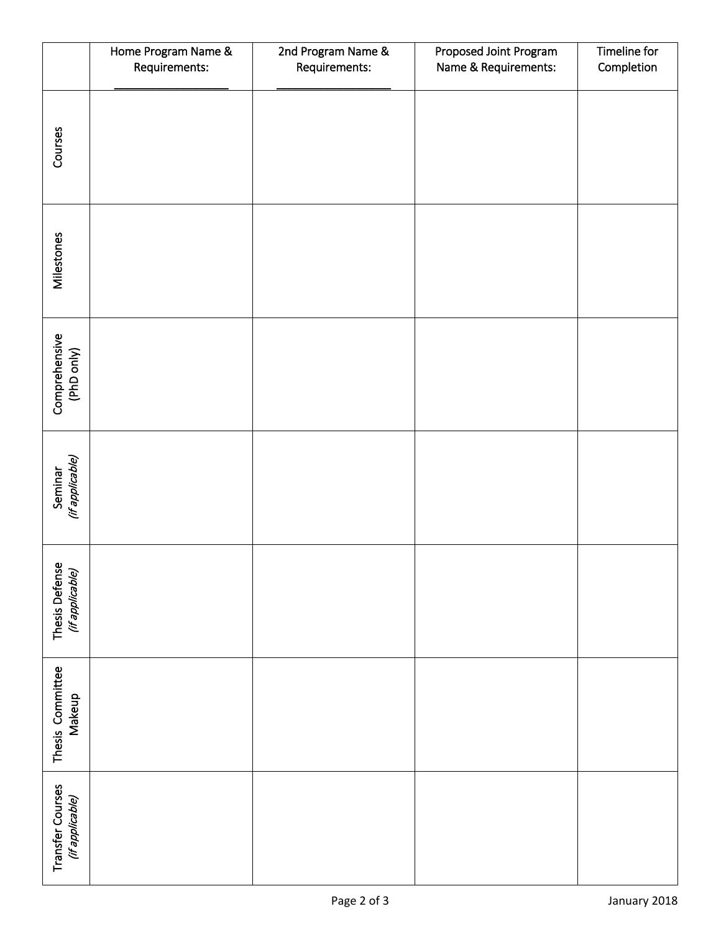|                                     | Home Program Name &<br>Requirements: | 2nd Program Name &<br>Requirements: | Proposed Joint Program<br>Name & Requirements: | Timeline for<br>Completion |
|-------------------------------------|--------------------------------------|-------------------------------------|------------------------------------------------|----------------------------|
| Courses                             |                                      |                                     |                                                |                            |
| Milestones                          |                                      |                                     |                                                |                            |
| Comprehensive<br>(PhD only)         |                                      |                                     |                                                |                            |
| Seminar<br>(if applicable)          |                                      |                                     |                                                |                            |
| Thesis Defense<br>(if applicable)   |                                      |                                     |                                                |                            |
| Thesis Committee<br>Makeup          |                                      |                                     |                                                |                            |
| Transfer Courses<br>(if applicable) |                                      |                                     |                                                |                            |